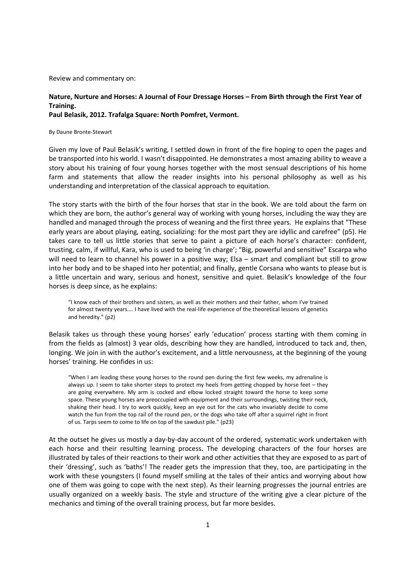Review and commentary on:

# **Nature, Nurture and Horses: A Journal of Four Dressage Horses – From Birth through the First Year of Training.**

**Paul Belasik, 2012. Trafalga Square: North Pomfret, Vermont.** 

By Daune Bronte-Stewart

Given my love of Paul Belasik's writing, I settled down in front of the fire hoping to open the pages and be transported into his world. I wasn't disappointed. He demonstrates a most amazing ability to weave a story about his training of four young horses together with the most sensual descriptions of his home farm and statements that allow the reader insights into his personal philosophy as well as his understanding and interpretation of the classical approach to equitation.

The story starts with the birth of the four horses that star in the book. We are told about the farm on which they are born, the author's general way of working with young horses, including the way they are handled and managed through the process of weaning and the first three years. He explains that "These early years are about playing, eating, socializing: for the most part they are idyllic and carefree" (p5). He takes care to tell us little stories that serve to paint a picture of each horse's character: confident, trusting, calm, if willful, Kara, who is used to being 'in charge'; "Big, powerful and sensitive" Escarpa who will need to learn to channel his power in a positive way; Elsa – smart and compliant but still to grow into her body and to be shaped into her potential; and finally, gentle Corsana who wants to please but is a little uncertain and wary, serious and honest, sensitive and quiet. Belasik's knowledge of the four horses is deep since, as he explains:

"I know each of their brothers and sisters, as well as their mothers and their father, whom I've trained for almost twenty years…. I have lived with the real-life experience of the theoretical lessons of genetics and heredity." (p2)

Belasik takes us through these young horses' early 'education' process starting with them coming in from the fields as (almost) 3 year olds, describing how they are handled, introduced to tack and, then, longing. We join in with the author's excitement, and a little nervousness, at the beginning of the young horses' training. He confides in us:

"When I am leading these young horses to the round pen during the first few weeks, my adrenaline is always up. I seem to take shorter steps to protect my heels from getting chopped by horse feet – they are going everywhere. My arm is cocked and elbow locked straight toward the horse to keep some space. These young horses are preoccupied with equipment and their surroundings, twisting their neck, shaking their head. I try to work quickly, keep an eye out for the cats who invariably decide to come watch the fun from the top rail of the round pen, or the dogs who take off after a squirrel right in front of us. Tarps seem to come to life on top of the sawdust pile." (p23)

At the outset he gives us mostly a day-by-day account of the ordered, systematic work undertaken with each horse and their resulting learning process. The developing characters of the four horses are illustrated by tales of their reactions to their work and other activities that they are exposed to as part of their 'dressing', such as 'baths'! The reader gets the impression that they, too, are participating in the work with these youngsters (I found myself smiling at the tales of their antics and worrying about how one of them was going to cope with the next step). As their learning progresses the journal entries are usually organized on a weekly basis. The style and structure of the writing give a clear picture of the mechanics and timing of the overall training process, but far more besides.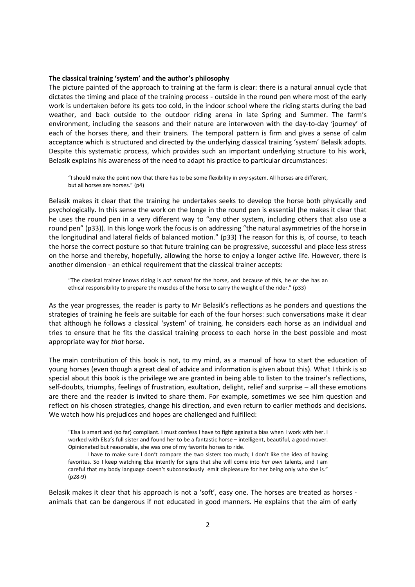#### **The classical training 'system' and the author's philosophy**

The picture painted of the approach to training at the farm is clear: there is a natural annual cycle that dictates the timing and place of the training process - outside in the round pen where most of the early work is undertaken before its gets too cold, in the indoor school where the riding starts during the bad weather, and back outside to the outdoor riding arena in late Spring and Summer. The farm's environment, including the seasons and their nature are interwoven with the day-to-day 'journey' of each of the horses there, and their trainers. The temporal pattern is firm and gives a sense of calm acceptance which is structured and directed by the underlying classical training 'system' Belasik adopts. Despite this systematic process, which provides such an important underlying structure to his work, Belasik explains his awareness of the need to adapt his practice to particular circumstances:

"I should make the point now that there has to be some flexibility in *any* system. All horses are different, but all horses are horses." (p4)

Belasik makes it clear that the training he undertakes seeks to develop the horse both physically and psychologically. In this sense the work on the longe in the round pen is essential (he makes it clear that he uses the round pen in a very different way to "any other system, including others that also use a round pen" (p33)). In this longe work the focus is on addressing "the natural asymmetries of the horse in the longitudinal and lateral fields of balanced motion." (p33) The reason for this is, of course, to teach the horse the correct posture so that future training can be progressive, successful and place less stress on the horse and thereby, hopefully, allowing the horse to enjoy a longer active life. However, there is another dimension - an ethical requirement that the classical trainer accepts:

"The classical trainer knows riding is *not natural* for the horse, and because of this, he or she has an ethical responsibility to prepare the muscles of the horse to carry the weight of the rider." (p33)

As the year progresses, the reader is party to Mr Belasik's reflections as he ponders and questions the strategies of training he feels are suitable for each of the four horses: such conversations make it clear that although he follows a classical 'system' of training, he considers each horse as an individual and tries to ensure that he fits the classical training process to each horse in the best possible and most appropriate way for *that* horse.

The main contribution of this book is not, to my mind, as a manual of how to start the education of young horses (even though a great deal of advice and information is given about this). What I think is so special about this book is the privilege we are granted in being able to listen to the trainer's reflections, self-doubts, triumphs, feelings of frustration, exultation, delight, relief and surprise – all these emotions are there and the reader is invited to share them. For example, sometimes we see him question and reflect on his chosen strategies, change his direction, and even return to earlier methods and decisions. We watch how his prejudices and hopes are challenged and fulfilled:

"Elsa is smart and (so far) compliant. I must confess I have to fight against a bias when I work with her. I worked with Elsa's full sister and found her to be a fantastic horse – intelligent, beautiful, a good mover. Opinionated but reasonable, she was one of my favorite horses to ride.

I have to make sure I don't compare the two sisters too much; I don't like the idea of having favorites. So I keep watching Elsa intently for signs that she will come into *her own* talents, and I am careful that my body language doesn't subconsciously emit displeasure for her being only who she is." (p28-9)

Belasik makes it clear that his approach is not a 'soft', easy one. The horses are treated as horses animals that can be dangerous if not educated in good manners. He explains that the aim of early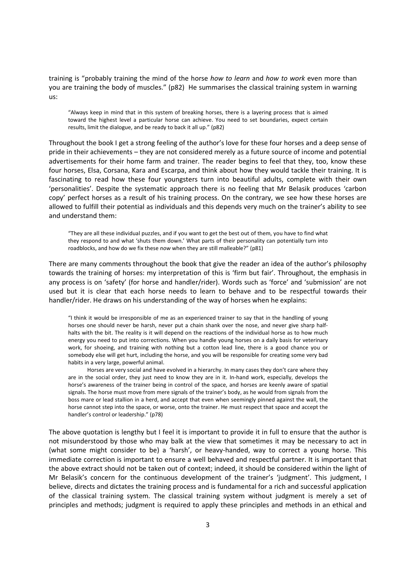training is "probably training the mind of the horse *how to learn* and *how to work* even more than you are training the body of muscles." (p82) He summarises the classical training system in warning us:

"Always keep in mind that in this system of breaking horses, there is a layering process that is aimed toward the highest level a particular horse can achieve. You need to set boundaries, expect certain results, limit the dialogue, and be ready to back it all up." (p82)

Throughout the book I get a strong feeling of the author's love for these four horses and a deep sense of pride in their achievements – they are not considered merely as a future source of income and potential advertisements for their home farm and trainer. The reader begins to feel that they, too, know these four horses, Elsa, Corsana, Kara and Escarpa, and think about how they would tackle their training. It is fascinating to read how these four youngsters turn into beautiful adults, complete with their own 'personalities'. Despite the systematic approach there is no feeling that Mr Belasik produces 'carbon copy' perfect horses as a result of his training process. On the contrary, we see how these horses are allowed to fulfill their potential as individuals and this depends very much on the trainer's ability to see and understand them:

"They are all these individual puzzles, and if you want to get the best out of them, you have to find what they respond to and what 'shuts them down.' What parts of their personality can potentially turn into roadblocks, and how do we fix these *now* when they are still malleable?" (p81)

There are many comments throughout the book that give the reader an idea of the author's philosophy towards the training of horses: my interpretation of this is 'firm but fair'. Throughout, the emphasis in any process is on 'safety' (for horse and handler/rider). Words such as 'force' and 'submission' are not used but it is clear that each horse needs to learn to behave and to be respectful towards their handler/rider. He draws on his understanding of the way of horses when he explains:

"I think it would be irresponsible of me as an experienced trainer to say that in the handling of young horses one should never be harsh, never put a chain shank over the nose, and never give sharp halfhalts with the bit. The reality is it will depend on the reactions of the individual horse as to how much energy you need to put into corrections. When you handle young horses on a daily basis for veterinary work, for shoeing, and training with nothing but a cotton lead line, there is a good chance you or somebody else will get hurt, including the horse, and you will be responsible for creating some very bad habits in a very large, powerful animal.

Horses are very social and have evolved in a hierarchy. In many cases they don't care where they are in the social order, they just need to know they are in it. In-hand work, especially, develops the horse's awareness of the trainer being in control of the space, and horses are keenly aware of spatial signals. The horse must move from mere signals of the trainer's body, as he would from signals from the boss mare or lead stallion in a herd, and accept that even when seemingly pinned against the wall, the horse cannot step into the space, or worse, onto the trainer. He must respect that space and accept the handler's control or leadership." (p78)

The above quotation is lengthy but I feel it is important to provide it in full to ensure that the author is not misunderstood by those who may balk at the view that sometimes it may be necessary to act in (what some might consider to be) a 'harsh', or heavy-handed, way to correct a young horse. This immediate correction is important to ensure a well behaved and respectful partner. It is important that the above extract should not be taken out of context; indeed, it should be considered within the light of Mr Belasik's concern for the continuous development of the trainer's 'judgment'. This judgment, I believe, directs and dictates the training process and is fundamental for a rich and successful application of the classical training system. The classical training system without judgment is merely a set of principles and methods; judgment is required to apply these principles and methods in an ethical and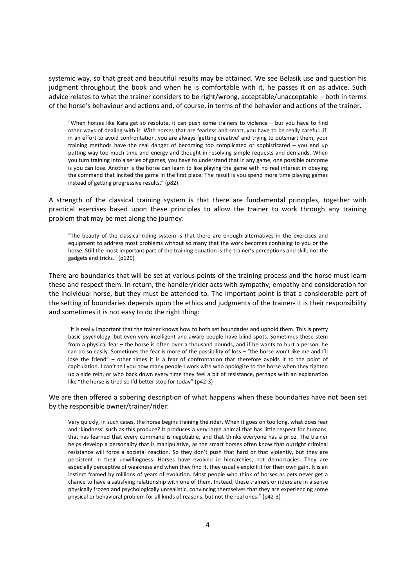systemic way, so that great and beautiful results may be attained. We see Belasik use and question his judgment throughout the book and when he is comfortable with it, he passes it on as advice. Such advice relates to what the trainer considers to be right/wrong, acceptable/unacceptable – both in terms of the horse's behaviour and actions and, of course, in terms of the behavior and actions of the trainer.

"When horses like Kara get so resolute, it can push some trainers to violence – but you have to find other ways of dealing with it. With horses that are fearless and smart, you have to be really careful…if, in an effort to avoid confrontation, you are always 'getting creative' and trying to outsmart them, your training methods have the real danger of becoming too complicated or sophisticated - you end up putting way too much time and energy and thought in resolving simple requests and demands. When you turn training into a series of games, you have to understand that in any game, one possible outcome is you can lose. Another is the horse can learn to like playing the game with no real interest in obeying the command that incited the game in the first place. The result is you spend more time playing games instead of getting progressive results." (p82)

A strength of the classical training system is that there are fundamental principles, together with practical exercises based upon these principles to allow the trainer to work through any training problem that may be met along the journey:

"The beauty of the classical riding system is that there are enough alternatives in the exercises and equipment to address most problems without so many that the work becomes confusing to you or the horse. Still the most important part of the training equation is the trainer's perceptions and skill, not the gadgets and tricks." (p129)

There are boundaries that will be set at various points of the training process and the horse must learn these and respect them. In return, the handler/rider acts with sympathy, empathy and consideration for the individual horse, but they must be attended to. The important point is that a considerable part of the setting of boundaries depends upon the ethics and judgments of the trainer- it is their responsibility and sometimes it is not easy to do the right thing:

"It is really important that the trainer knows how to both set boundaries and uphold them. This is pretty basic psychology, but even very intelligent and aware people have blind spots. Sometimes these stem from a physical fear – the horse is often over a thousand pounds, and if he wants to hurt a person, he can do so easily. Sometimes the fear is more of the possibility of loss – "the horse won't like me and I'll lose the friend" – other times it is a fear of confrontation that therefore avoids it to the point of capitulation. I can't tell you how many people I work with who apologize to the horse when they tighten up a side rein, or who back down every time they feel a bit of resistance, perhaps with an explanation like "the horse is tired so I'd better stop for today".(p42-3)

# We are then offered a sobering description of what happens when these boundaries have not been set by the responsible owner/trainer/rider:

Very quickly, in such cases, the horse begins training the rider. When it goes on too long, what does fear and 'kindness' such as this produce? It produces a very large animal that has little respect for humans, that has learned that every command is negotiable, and that thinks everyone has a price. The trainer helps develop a personality that is manipulative, as the smart horses often know that outright criminal resistance will force a societal reaction. So they don't push that hard or that violently, but they are persistent in their unwillingness. Horses have evolved in hierarchies, not democracies. They are especially perceptive of weakness and when they find it, they usually exploit it for their own gain. It is an instinct framed by millions of years of evolution. Most people who think of horses as pets never get a chance to have a satisfying relationship with one of them. Instead, these trainers or riders are in a sense physically frozen and psychologically unrealistic, convincing themselves that they are experiencing some physical or behavioral problem for all kinds of reasons, but not the real ones." (p42-3)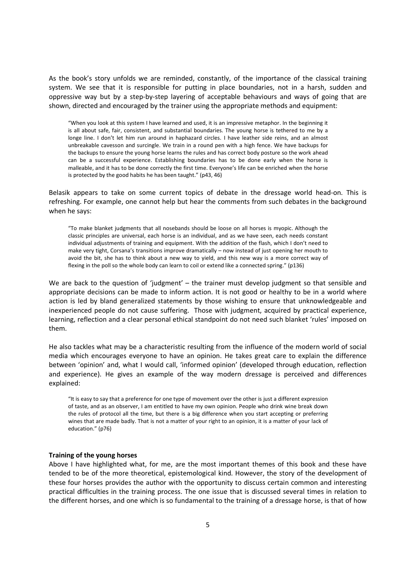As the book's story unfolds we are reminded, constantly, of the importance of the classical training system. We see that it is responsible for putting in place boundaries, not in a harsh, sudden and oppressive way but by a step-by-step layering of acceptable behaviours and ways of going that are shown, directed and encouraged by the trainer using the appropriate methods and equipment:

"When you look at this system I have learned and used, it is an impressive metaphor. In the beginning it is all about safe, fair, consistent, and substantial boundaries. The young horse is tethered to me by a longe line. I don't let him run around in haphazard circles. I have leather side reins, and an almost unbreakable cavesson and surcingle. We train in a round pen with a high fence. We have backups for the backups to ensure the young horse learns the rules and has correct body posture so the work ahead can be a successful experience. Establishing boundaries has to be done early when the horse is malleable, and it has to be done correctly the first time. Everyone's life can be enriched when the horse is protected by the good habits he has been taught." (p43, 46)

Belasik appears to take on some current topics of debate in the dressage world head-on. This is refreshing. For example, one cannot help but hear the comments from such debates in the background when he says:

"To make blanket judgments that all nosebands should be loose on all horses is myopic. Although the classic principles are universal, each horse is an individual, and as we have seen, each needs constant individual adjustments of training and equipment. With the addition of the flash, which I don't need to make very tight, Corsana's transitions improve dramatically – now instead of just opening her mouth to avoid the bit, she has to think about a new way to yield, and this new way is a more correct way of flexing in the poll so the whole body can learn to coil or extend like a connected spring." (p136)

We are back to the question of 'judgment' – the trainer must develop judgment so that sensible and appropriate decisions can be made to inform action. It is not good or healthy to be in a world where action is led by bland generalized statements by those wishing to ensure that unknowledgeable and inexperienced people do not cause suffering. Those with judgment, acquired by practical experience, learning, reflection and a clear personal ethical standpoint do not need such blanket 'rules' imposed on them.

He also tackles what may be a characteristic resulting from the influence of the modern world of social media which encourages everyone to have an opinion. He takes great care to explain the difference between 'opinion' and, what I would call, 'informed opinion' (developed through education, reflection and experience). He gives an example of the way modern dressage is perceived and differences explained:

"It is easy to say that a preference for one type of movement over the other is just a different expression of taste, and as an observer, I am entitled to have my own opinion. People who drink wine break down the rules of protocol all the time, but there is a big difference when you start accepting or preferring wines that are made badly. That is not a matter of your right to an opinion, it is a matter of your lack of education." (p76)

# **Training of the young horses**

Above I have highlighted what, for me, are the most important themes of this book and these have tended to be of the more theoretical, epistemological kind. However, the story of the development of these four horses provides the author with the opportunity to discuss certain common and interesting practical difficulties in the training process. The one issue that is discussed several times in relation to the different horses, and one which is so fundamental to the training of a dressage horse, is that of how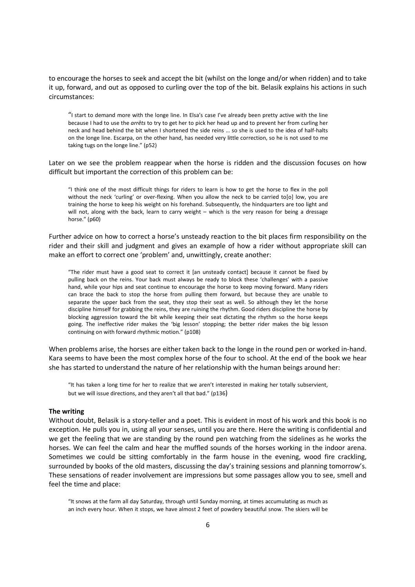to encourage the horses to seek and accept the bit (whilst on the longe and/or when ridden) and to take it up, forward, and out as opposed to curling over the top of the bit. Belasik explains his actions in such circumstances:

"I start to demand more with the longe line. In Elsa's case I've already been pretty active with the line because I had to use the *arrêts* to try to get her to pick her head up and to prevent her from curling her neck and head behind the bit when I shortened the side reins … so she is used to the idea of half-halts on the longe line. Escarpa, on the other hand, has needed very little correction, so he is not used to me taking tugs on the longe line." (p52)

Later on we see the problem reappear when the horse is ridden and the discussion focuses on how difficult but important the correction of this problem can be:

"I think one of the most difficult things for riders to learn is how to get the horse to flex in the poll without the neck 'curling' or over-flexing. When you allow the neck to be carried to[o] low, you are training the horse to keep his weight on his forehand. Subsequently, the hindquarters are too light and will not, along with the back, learn to carry weight – which is the very reason for being a dressage horse." (p60)

Further advice on how to correct a horse's unsteady reaction to the bit places firm responsibility on the rider and their skill and judgment and gives an example of how a rider without appropriate skill can make an effort to correct one 'problem' and, unwittingly, create another:

"The rider must have a good seat to correct it [an unsteady contact] because it cannot be fixed by pulling back on the reins. Your back must always be ready to block these 'challenges' with a passive hand, while your hips and seat continue to encourage the horse to keep moving forward. Many riders can brace the back to stop the horse from pulling them forward, but because they are unable to separate the upper back from the seat, they stop their seat as well. So although they let the horse discipline himself for grabbing the reins, they are ruining the rhythm. Good riders discipline the horse by blocking aggression toward the bit while keeping their seat dictating the rhythm so the horse keeps going. The ineffective rider makes the 'big lesson' stopping; the better rider makes the big lesson continuing on with forward rhythmic motion." (p108)

When problems arise, the horses are either taken back to the longe in the round pen or worked in-hand. Kara seems to have been the most complex horse of the four to school. At the end of the book we hear she has started to understand the nature of her relationship with the human beings around her:

"It has taken a long time for her to realize that we aren't interested in making her totally subservient, but we will issue directions, and they aren't all that bad." (p136)

# **The writing**

Without doubt, Belasik is a story-teller and a poet. This is evident in most of his work and this book is no exception. He pulls you in, using all your senses, until you are there. Here the writing is confidential and we get the feeling that we are standing by the round pen watching from the sidelines as he works the horses. We can feel the calm and hear the muffled sounds of the horses working in the indoor arena. Sometimes we could be sitting comfortably in the farm house in the evening, wood fire crackling, surrounded by books of the old masters, discussing the day's training sessions and planning tomorrow's. These sensations of reader involvement are impressions but some passages allow you to see, smell and feel the time and place:

"It snows at the farm all day Saturday, through until Sunday morning, at times accumulating as much as an inch every hour. When it stops, we have almost 2 feet of powdery beautiful snow. The skiers will be